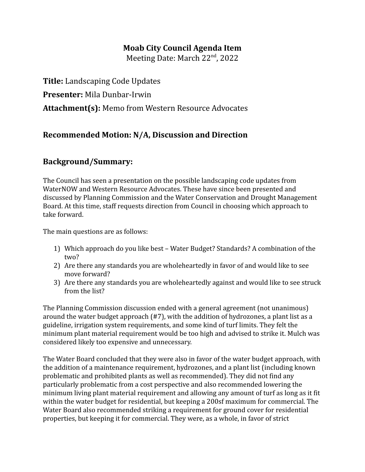## **Moab City Council Agenda Item**

Meeting Date: March 22<sup>nd</sup>, 2022

**Title:** Landscaping Code Updates **Presenter:** Mila Dunbar-Irwin **Attachment(s):** Memo from Western Resource Advocates

## **Recommended Motion: N/A, Discussion and Direction**

## **Background/Summary:**

The Council has seen a presentation on the possible landscaping code updates from WaterNOW and Western Resource Advocates. These have since been presented and discussed by Planning Commission and the Water Conservation and Drought Management Board. At this time, staff requests direction from Council in choosing which approach to take forward.

The main questions are as follows:

- 1) Which approach do you like best Water Budget? Standards? A combination of the two?
- 2) Are there any standards you are wholeheartedly in favor of and would like to see move forward?
- 3) Are there any standards you are wholeheartedly against and would like to see struck from the list?

The Planning Commission discussion ended with a general agreement (not unanimous) around the water budget approach (#7), with the addition of hydrozones, a plant list as a guideline, irrigation system requirements, and some kind of turf limits. They felt the minimum plant material requirement would be too high and advised to strike it. Mulch was considered likely too expensive and unnecessary.

The Water Board concluded that they were also in favor of the water budget approach, with the addition of a maintenance requirement, hydrozones, and a plant list (including known problematic and prohibited plants as well as recommended). They did not find any particularly problematic from a cost perspective and also recommended lowering the minimum living plant material requirement and allowing any amount of turf as long as it fit within the water budget for residential, but keeping a 200sf maximum for commercial. The Water Board also recommended striking a requirement for ground cover for residential properties, but keeping it for commercial. They were, as a whole, in favor of strict